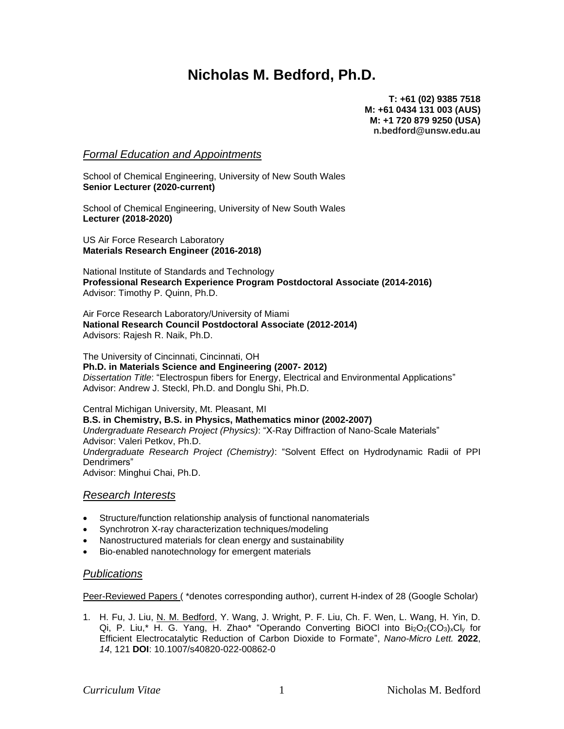# **Nicholas M. Bedford, Ph.D.**

**T: +61 (02) 9385 7518 M: +61 0434 131 003 (AUS) M: +1 720 879 9250 (USA) n.bedford@unsw.edu.au**

# *Formal Education and Appointments*

School of Chemical Engineering, University of New South Wales **Senior Lecturer (2020-current)**

School of Chemical Engineering, University of New South Wales **Lecturer (2018-2020)**

US Air Force Research Laboratory **Materials Research Engineer (2016-2018)**

National Institute of Standards and Technology **Professional Research Experience Program Postdoctoral Associate (2014-2016)** Advisor: Timothy P. Quinn, Ph.D.

Air Force Research Laboratory/University of Miami **National Research Council Postdoctoral Associate (2012-2014)** Advisors: Rajesh R. Naik, Ph.D.

The University of Cincinnati, Cincinnati, OH **Ph.D. in Materials Science and Engineering (2007- 2012)** *Dissertation Title*: "Electrospun fibers for Energy, Electrical and Environmental Applications" Advisor: Andrew J. Steckl, Ph.D. and Donglu Shi, Ph.D.

Central Michigan University, Mt. Pleasant, MI **B.S. in Chemistry, B.S. in Physics, Mathematics minor (2002-2007)** *Undergraduate Research Project (Physics)*: "X-Ray Diffraction of Nano-Scale Materials" Advisor: Valeri Petkov, Ph.D. *Undergraduate Research Project (Chemistry)*: "Solvent Effect on Hydrodynamic Radii of PPI Dendrimers" Advisor: Minghui Chai, Ph.D.

# *Research Interests*

- Structure/function relationship analysis of functional nanomaterials
- Synchrotron X-ray characterization techniques/modeling
- Nanostructured materials for clean energy and sustainability
- Bio-enabled nanotechnology for emergent materials

# *Publications*

Peer-Reviewed Papers ( \*denotes corresponding author), current H-index of 28 (Google Scholar)

1. H. Fu, J. Liu, N. M. Bedford, Y. Wang, J. Wright, P. F. Liu, Ch. F. Wen, L. Wang, H. Yin, D. Qi, P. Liu,\* H. G. Yang, H. Zhao\* "Operando Converting BiOCl into Bi2O2(CO3)xCly for Efficient Electrocatalytic Reduction of Carbon Dioxide to Formate", *Nano-Micro Lett.* **2022**, *14*, 121 **DOI**: 10.1007/s40820-022-00862-0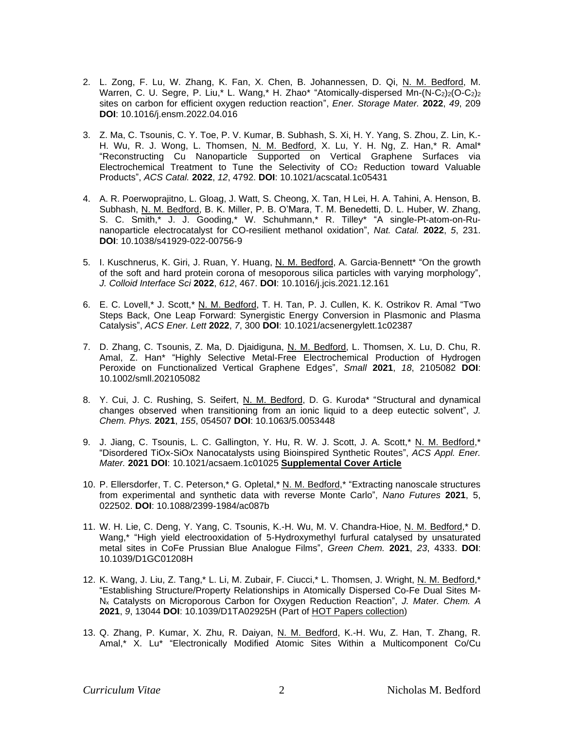- 2. L. Zong, F. Lu, W. Zhang, K. Fan, X. Chen, B. Johannessen, D. Qi, N. M. Bedford, M. Warren, C. U. Segre, P. Liu,\* L. Wang,\* H. Zhao\* "Atomically-dispersed Mn-(N-C<sub>2</sub>)<sub>2</sub>(O-C<sub>2</sub>)<sub>2</sub> sites on carbon for efficient oxygen reduction reaction", *Ener. Storage Mater.* **2022**, *49*, 209 **DOI**: 10.1016/j.ensm.2022.04.016
- 3. Z. Ma, C. Tsounis, C. Y. Toe, P. V. Kumar, B. Subhash, S. Xi, H. Y. Yang, S. Zhou, Z. Lin, K.- H. Wu, R. J. Wong, L. Thomsen, N. M. Bedford, X. Lu, Y. H. Ng, Z. Han,\* R. Amal\* "Reconstructing Cu Nanoparticle Supported on Vertical Graphene Surfaces via Electrochemical Treatment to Tune the Selectivity of CO<sup>2</sup> Reduction toward Valuable Products", *ACS Catal.* **2022**, *12*, 4792. **DOI**: 10.1021/acscatal.1c05431
- 4. A. R. Poerwoprajitno, L. Gloag, J. Watt, S. Cheong, X. Tan, H Lei, H. A. Tahini, A. Henson, B. Subhash, N. M. Bedford, B. K. Miller, P. B. O'Mara, T. M. Benedetti, D. L. Huber, W. Zhang, S. C. Smith,\* J. J. Gooding,\* W. Schuhmann,\* R. Tilley\* "A single-Pt-atom-on-Runanoparticle electrocatalyst for CO-resilient methanol oxidation", *Nat. Catal.* **2022**, *5*, 231. **DOI**: 10.1038/s41929-022-00756-9
- 5. I. Kuschnerus, K. Giri, J. Ruan, Y. Huang, N. M. Bedford, A. Garcia-Bennett\* "On the growth of the soft and hard protein corona of mesoporous silica particles with varying morphology", *J. Colloid Interface Sci* **2022**, *612*, 467. **DOI**: 10.1016/j.jcis.2021.12.161
- 6. E. C. Lovell,\* J. Scott,\* N. M. Bedford, T. H. Tan, P. J. Cullen, K. K. Ostrikov R. Amal "Two Steps Back, One Leap Forward: Synergistic Energy Conversion in Plasmonic and Plasma Catalysis", *ACS Ener. Lett* **2022**, *7*, 300 **DOI**: 10.1021/acsenergylett.1c02387
- 7. D. Zhang, C. Tsounis, Z. Ma, D. Djaidiguna, N. M. Bedford, L. Thomsen, X. Lu, D. Chu, R. Amal, Z. Han\* "Highly Selective Metal-Free Electrochemical Production of Hydrogen Peroxide on Functionalized Vertical Graphene Edges", *Small* **2021**, *18*, 2105082 **DOI**: 10.1002/smll.202105082
- 8. Y. Cui, J. C. Rushing, S. Seifert, N. M. Bedford, D. G. Kuroda\* "Structural and dynamical changes observed when transitioning from an ionic liquid to a deep eutectic solvent", *J. Chem. Phys.* **2021**, *155*, 054507 **DOI**: 10.1063/5.0053448
- 9. J. Jiang, C. Tsounis, L. C. Gallington, Y. Hu, R. W. J. Scott, J. A. Scott,\* N. M. Bedford,\* "Disordered TiOx-SiOx Nanocatalysts using Bioinspired Synthetic Routes", *ACS Appl. Ener. Mater.* **2021 DOI**: 10.1021/acsaem.1c01025 **Supplemental Cover Article**
- 10. P. Ellersdorfer, T. C. Peterson,\* G. Opletal,\* N. M. Bedford,\* "Extracting nanoscale structures from experimental and synthetic data with reverse Monte Carlo", *Nano Futures* **2021**, 5, 022502. **DOI**: 10.1088/2399-1984/ac087b
- 11. W. H. Lie, C. Deng, Y. Yang, C. Tsounis, K.-H. Wu, M. V. Chandra-Hioe, N. M. Bedford,\* D. Wang,\* "High yield electrooxidation of 5-Hydroxymethyl furfural catalysed by unsaturated metal sites in CoFe Prussian Blue Analogue Films", *Green Chem.* **2021**, *23*, 4333. **DOI**: 10.1039/D1GC01208H
- 12. K. Wang, J. Liu, Z. Tang,\* L. Li, M. Zubair, F. Ciucci,\* L. Thomsen, J. Wright, N. M. Bedford,\* "Establishing Structure/Property Relationships in Atomically Dispersed Co-Fe Dual Sites M-N<sup>x</sup> Catalysts on Microporous Carbon for Oxygen Reduction Reaction", *J. Mater. Chem. A* **2021**, *9*, 13044 **DOI**: 10.1039/D1TA02925H (Part of HOT Papers collection)
- 13. Q. Zhang, P. Kumar, X. Zhu, R. Daiyan, N. M. Bedford, K.-H. Wu, Z. Han, T. Zhang, R. Amal,\* X. Lu\* "Electronically Modified Atomic Sites Within a Multicomponent Co/Cu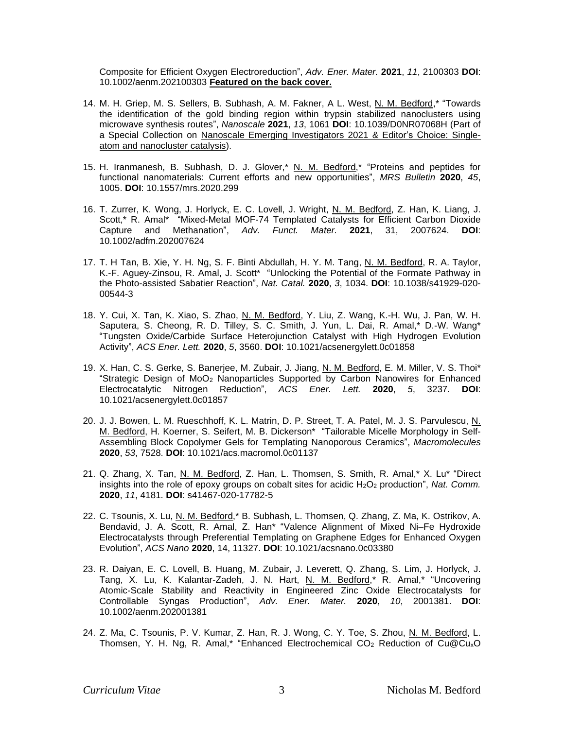Composite for Efficient Oxygen Electroreduction", *Adv. Ener. Mater.* **2021**, *11*, 2100303 **DOI**: 10.1002/aenm.202100303 **Featured on the back cover.**

- 14. M. H. Griep, M. S. Sellers, B. Subhash, A. M. Fakner, A L. West, N. M. Bedford,\* "Towards the identification of the gold binding region within trypsin stabilized nanoclusters using microwave synthesis routes", *Nanoscale* **2021**, *13*, 1061 **DOI**: 10.1039/D0NR07068H (Part of a Special Collection on Nanoscale Emerging Investigators 2021 & Editor's Choice: Singleatom and nanocluster catalysis).
- 15. H. Iranmanesh, B. Subhash, D. J. Glover,\* N. M. Bedford,\* "Proteins and peptides for functional nanomaterials: Current efforts and new opportunities", *MRS Bulletin* **2020**, *45*, 1005. **DOI**: 10.1557/mrs.2020.299
- 16. T. Zurrer, K. Wong, J. Horlyck, E. C. Lovell, J. Wright, N. M. Bedford, Z. Han, K. Liang, J. Scott,\* R. Amal\* "Mixed-Metal MOF-74 Templated Catalysts for Efficient Carbon Dioxide Capture and Methanation", *Adv. Funct. Mater.* **2021**, 31, 2007624. **DOI**: 10.1002/adfm.202007624
- 17. T. H Tan, B. Xie, Y. H. Ng, S. F. Binti Abdullah, H. Y. M. Tang, N. M. Bedford, R. A. Taylor, K.-F. Aguey-Zinsou, R. Amal, J. Scott\* "Unlocking the Potential of the Formate Pathway in the Photo-assisted Sabatier Reaction", *Nat. Catal.* **2020**, *3*, 1034. **DOI**: 10.1038/s41929-020- 00544-3
- 18. Y. Cui, X. Tan, K. Xiao, S. Zhao, N. M. Bedford, Y. Liu, Z. Wang, K.-H. Wu, J. Pan, W. H. Saputera, S. Cheong, R. D. Tilley, S. C. Smith, J. Yun, L. Dai, R. Amal,\* D.-W. Wang\* "Tungsten Oxide/Carbide Surface Heterojunction Catalyst with High Hydrogen Evolution Activity", *ACS Ener. Lett.* **2020**, *5*, 3560. **DOI**: 10.1021/acsenergylett.0c01858
- 19. X. Han, C. S. Gerke, S. Banerjee, M. Zubair, J. Jiang, N. M. Bedford, E. M. Miller, V. S. Thoi\* "Strategic Design of MoO<sup>2</sup> Nanoparticles Supported by Carbon Nanowires for Enhanced Electrocatalytic Nitrogen Reduction", *ACS Ener. Lett.* **2020**, *5*, 3237. **DOI**: 10.1021/acsenergylett.0c01857
- 20. J. J. Bowen, L. M. Rueschhoff, K. L. Matrin, D. P. Street, T. A. Patel, M. J. S. Parvulescu, N. M. Bedford, H. Koerner, S. Seifert, M. B. Dickerson\* "Tailorable Micelle Morphology in Self-Assembling Block Copolymer Gels for Templating Nanoporous Ceramics", *Macromolecules* **2020**, *53*, 7528. **DOI**: 10.1021/acs.macromol.0c01137
- 21. Q. Zhang, X. Tan, N. M. Bedford, Z. Han, L. Thomsen, S. Smith, R. Amal,\* X. Lu\* "Direct insights into the role of epoxy groups on cobalt sites for acidic H<sub>2</sub>O<sub>2</sub> production", *Nat. Comm.* **2020**, *11*, 4181. **DOI**: s41467-020-17782-5
- 22. C. Tsounis, X. Lu, N. M. Bedford,\* B. Subhash, L. Thomsen, Q. Zhang, Z. Ma, K. Ostrikov, A. Bendavid, J. A. Scott, R. Amal, Z. Han\* "Valence Alignment of Mixed Ni–Fe Hydroxide Electrocatalysts through Preferential Templating on Graphene Edges for Enhanced Oxygen Evolution", *ACS Nano* **2020**, 14, 11327. **DOI**: 10.1021/acsnano.0c03380
- 23. R. Daiyan, E. C. Lovell, B. Huang, M. Zubair, J. Leverett, Q. Zhang, S. Lim, J. Horlyck, J. Tang, X. Lu, K. Kalantar-Zadeh, J. N. Hart, N. M. Bedford,\* R. Amal,\* "Uncovering Atomic‐Scale Stability and Reactivity in Engineered Zinc Oxide Electrocatalysts for Controllable Syngas Production", *Adv. Ener. Mater.* **2020**, *10*, 2001381. **DOI**: 10.1002/aenm.202001381
- 24. Z. Ma, C. Tsounis, P. V. Kumar, Z. Han, R. J. Wong, C. Y. Toe, S. Zhou, N. M. Bedford, L. Thomsen, Y. H. Ng, R. Amal,\* "Enhanced Electrochemical CO<sup>2</sup> Reduction of Cu@CuxO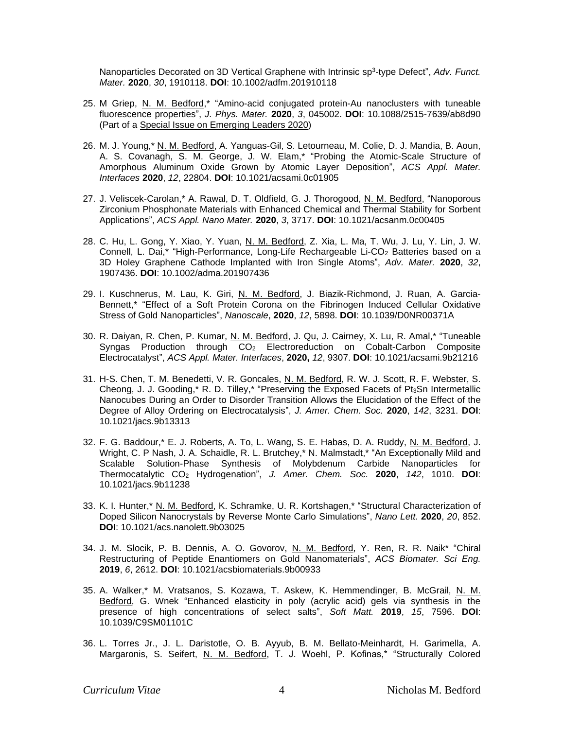Nanoparticles Decorated on 3D Vertical Graphene with Intrinsic sp<sup>3</sup> ‐type Defect", *Adv. Funct. Mater.* **2020**, *30*, 1910118. **DOI**: 10.1002/adfm.201910118

- 25. M Griep, N. M. Bedford,\* "Amino-acid conjugated protein-Au nanoclusters with tuneable fluorescence properties", *J. Phys. Mater.* **2020**, *3*, 045002. **DOI**: 10.1088/2515-7639/ab8d90 (Part of a Special Issue on Emerging Leaders 2020)
- 26. M. J. Young,\* N. M. Bedford, A. Yanguas-Gil, S. Letourneau, M. Colie, D. J. Mandia, B. Aoun, A. S. Covanagh, S. M. George, J. W. Elam,\* "Probing the Atomic-Scale Structure of Amorphous Aluminum Oxide Grown by Atomic Layer Deposition", *ACS Appl. Mater. Interfaces* **2020**, *12*, 22804. **DOI**: 10.1021/acsami.0c01905
- 27. J. Veliscek-Carolan,\* A. Rawal, D. T. Oldfield, G. J. Thorogood, N. M. Bedford, "Nanoporous Zirconium Phosphonate Materials with Enhanced Chemical and Thermal Stability for Sorbent Applications", *ACS Appl. Nano Mater.* **2020**, *3*, 3717. **DOI**: 10.1021/acsanm.0c00405
- 28. C. Hu, L. Gong, Y. Xiao, Y. Yuan, N. M. Bedford, Z. Xia, L. Ma, T. Wu, J. Lu, Y. Lin, J. W. Connell, L. Dai,\* "High-Performance, Long-Life Rechargeable Li-CO<sup>2</sup> Batteries based on a 3D Holey Graphene Cathode Implanted with Iron Single Atoms", *Adv. Mater.* **2020**, *32*, 1907436. **DOI**: 10.1002/adma.201907436
- 29. I. Kuschnerus, M. Lau, K. Giri, N. M. Bedford, J. Biazik-Richmond, J. Ruan, A. Garcia-Bennett,\* "Effect of a Soft Protein Corona on the Fibrinogen Induced Cellular Oxidative Stress of Gold Nanoparticles", *Nanoscale*, **2020**, *12*, 5898. **DOI**: 10.1039/D0NR00371A
- 30. R. Daiyan, R. Chen, P. Kumar, N. M. Bedford, J. Qu, J. Cairney, X. Lu, R. Amal,\* "Tuneable Syngas Production through CO<sup>2</sup> Electroreduction on Cobalt-Carbon Composite Electrocatalyst", *ACS Appl. Mater. Interfaces*, **2020,** *12*, 9307. **DOI**: 10.1021/acsami.9b21216
- 31. H-S. Chen, T. M. Benedetti, V. R. Goncales, N. M. Bedford, R. W. J. Scott, R. F. Webster, S. Cheong, J. J. Gooding,\* R. D. Tilley,\* "Preserving the Exposed Facets of Pt<sub>3</sub>Sn Intermetallic Nanocubes During an Order to Disorder Transition Allows the Elucidation of the Effect of the Degree of Alloy Ordering on Electrocatalysis", *J. Amer. Chem. Soc.* **2020**, *142*, 3231. **DOI**: 10.1021/jacs.9b13313
- 32. F. G. Baddour,\* E. J. Roberts, A. To, L. Wang, S. E. Habas, D. A. Ruddy, N. M. Bedford, J. Wright, C. P Nash, J. A. Schaidle, R. L. Brutchey,\* N. Malmstadt,\* "An Exceptionally Mild and Scalable Solution-Phase Synthesis of Molybdenum Carbide Nanoparticles for Thermocatalytic CO<sup>2</sup> Hydrogenation", *J. Amer. Chem. Soc.* **2020**, *142*, 1010. **DOI**: 10.1021/jacs.9b11238
- 33. K. I. Hunter,\* N. M. Bedford, K. Schramke, U. R. Kortshagen,\* "Structural Characterization of Doped Silicon Nanocrystals by Reverse Monte Carlo Simulations", *Nano Lett.* **2020**, *20*, 852. **DOI**: 10.1021/acs.nanolett.9b03025
- 34. J. M. Slocik, P. B. Dennis, A. O. Govorov, N. M. Bedford, Y. Ren, R. R. Naik\* "Chiral Restructuring of Peptide Enantiomers on Gold Nanomaterials", *ACS Biomater. Sci Eng.* **2019**, *6*, 2612. **DOI**: 10.1021/acsbiomaterials.9b00933
- 35. A. Walker,\* M. Vratsanos, S. Kozawa, T. Askew, K. Hemmendinger, B. McGrail, N. M. Bedford, G. Wnek "Enhanced elasticity in poly (acrylic acid) gels via synthesis in the presence of high concentrations of select salts", *Soft Matt.* **2019**, *15*, 7596. **DOI**: 10.1039/C9SM01101C
- 36. L. Torres Jr., J. L. Daristotle, O. B. Ayyub, B. M. Bellato-Meinhardt, H. Garimella, A. Margaronis, S. Seifert, N. M. Bedford, T. J. Woehl, P. Kofinas,\* "Structurally Colored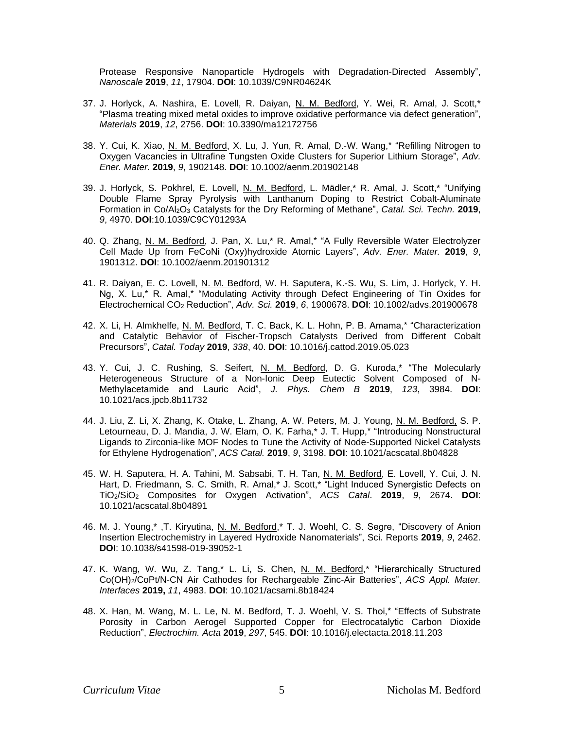Protease Responsive Nanoparticle Hydrogels with Degradation-Directed Assembly", *Nanoscale* **2019**, *11*, 17904. **DOI**: 10.1039/C9NR04624K

- 37. J. Horlyck, A. Nashira, E. Lovell, R. Daiyan, N. M. Bedford, Y. Wei, R. Amal, J. Scott,\* "Plasma treating mixed metal oxides to improve oxidative performance via defect generation", *Materials* **2019**, *12*, 2756. **DOI**: 10.3390/ma12172756
- 38. Y. Cui, K. Xiao, N. M. Bedford, X. Lu, J. Yun, R. Amal, D.-W. Wang,\* "Refilling Nitrogen to Oxygen Vacancies in Ultrafine Tungsten Oxide Clusters for Superior Lithium Storage", *Adv. Ener. Mater.* **2019**, *9*, 1902148. **DOI**: 10.1002/aenm.201902148
- 39. J. Horlyck, S. Pokhrel, E. Lovell, N. M. Bedford, L. Mädler,\* R. Amal, J. Scott,\* "Unifying Double Flame Spray Pyrolysis with Lanthanum Doping to Restrict Cobalt-Aluminate Formation in Co/Al2O<sup>3</sup> Catalysts for the Dry Reforming of Methane", *Catal. Sci. Techn.* **2019**, *9*, 4970. **DOI**:10.1039/C9CY01293A
- 40. Q. Zhang, N. M. Bedford, J. Pan, X. Lu,\* R. Amal,\* "A Fully Reversible Water Electrolyzer Cell Made Up from FeCoNi (Oxy)hydroxide Atomic Layers", *Adv. Ener. Mater.* **2019**, *9*, 1901312. **DOI**: 10.1002/aenm.201901312
- 41. R. Daiyan, E. C. Lovell, N. M. Bedford, W. H. Saputera, K.-S. Wu, S. Lim, J. Horlyck, Y. H. Ng, X. Lu,\* R. Amal,\* "Modulating Activity through Defect Engineering of Tin Oxides for Electrochemical CO<sup>2</sup> Reduction", *Adv. Sci.* **2019**, *6*, 1900678. **DOI**: 10.1002/advs.201900678
- 42. X. Li, H. Almkhelfe, N. M. Bedford, T. C. Back, K. L. Hohn, P. B. Amama,\* "Characterization and Catalytic Behavior of Fischer-Tropsch Catalysts Derived from Different Cobalt Precursors", *Catal. Today* **2019**, *338*, 40. **DOI**: 10.1016/j.cattod.2019.05.023
- 43. Y. Cui, J. C. Rushing, S. Seifert, N. M. Bedford, D. G. Kuroda,\* "The Molecularly Heterogeneous Structure of a Non-Ionic Deep Eutectic Solvent Composed of N-Methylacetamide and Lauric Acid", *J. Phys. Chem B* **2019**, *123*, 3984. **DOI**: 10.1021/acs.jpcb.8b11732
- 44. J. Liu, Z. Li, X. Zhang, K. Otake, L. Zhang, A. W. Peters, M. J. Young, N. M. Bedford, S. P. Letourneau, D. J. Mandia, J. W. Elam, O. K. Farha,\* J. T. Hupp,\* "Introducing Nonstructural Ligands to Zirconia-like MOF Nodes to Tune the Activity of Node-Supported Nickel Catalysts for Ethylene Hydrogenation", *ACS Catal.* **2019**, *9*, 3198. **DOI**: 10.1021/acscatal.8b04828
- 45. W. H. Saputera, H. A. Tahini, M. Sabsabi, T. H. Tan, N. M. Bedford, E. Lovell, Y. Cui, J. N. Hart, D. Friedmann, S. C. Smith, R. Amal,\* J. Scott,\* "Light Induced Synergistic Defects on TiO2/SiO<sup>2</sup> Composites for Oxygen Activation", *ACS Catal*. **2019**, *9*, 2674. **DOI**: 10.1021/acscatal.8b04891
- 46. M. J. Young,\*, T. Kiryutina, N. M. Bedford,\* T. J. Woehl, C. S. Segre, "Discovery of Anion Insertion Electrochemistry in Layered Hydroxide Nanomaterials", Sci. Reports **2019**, *9*, 2462. **DOI**: 10.1038/s41598-019-39052-1
- 47. K. Wang, W. Wu, Z. Tang,\* L. Li, S. Chen, N. M. Bedford,\* "Hierarchically Structured Co(OH)2/CoPt/N-CN Air Cathodes for Rechargeable Zinc-Air Batteries", *ACS Appl. Mater. Interfaces* **2019,** *11*, 4983. **DOI**: 10.1021/acsami.8b18424
- 48. X. Han, M. Wang, M. L. Le, N. M. Bedford, T. J. Woehl, V. S. Thoi,\* "Effects of Substrate Porosity in Carbon Aerogel Supported Copper for Electrocatalytic Carbon Dioxide Reduction", *Electrochim. Acta* **2019**, *297*, 545. **DOI**: 10.1016/j.electacta.2018.11.203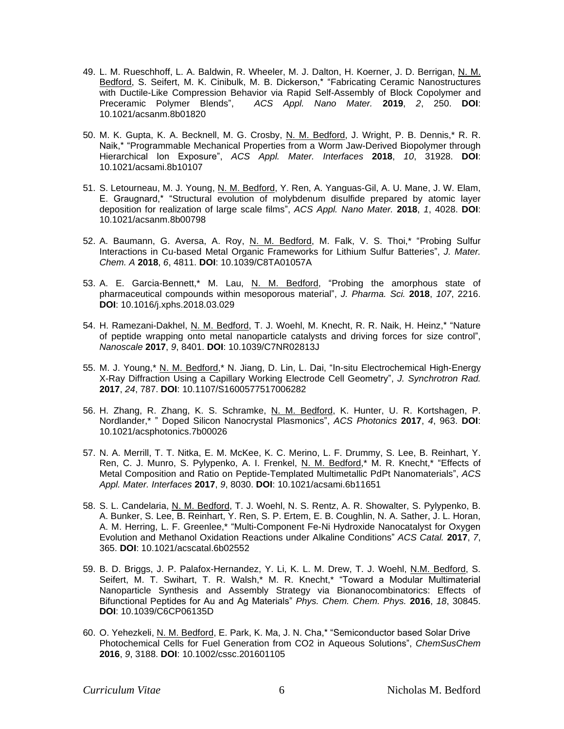- 49. L. M. Rueschhoff, L. A. Baldwin, R. Wheeler, M. J. Dalton, H. Koerner, J. D. Berrigan, N. M. Bedford, S. Seifert, M. K. Cinibulk, M. B. Dickerson,\* "Fabricating Ceramic Nanostructures with Ductile-Like Compression Behavior via Rapid Self-Assembly of Block Copolymer and Preceramic Polymer Blends", *ACS Appl. Nano Mater.* **2019**, *2*, 250. **DOI**: 10.1021/acsanm.8b01820
- 50. M. K. Gupta, K. A. Becknell, M. G. Crosby, N. M. Bedford, J. Wright, P. B. Dennis,\* R. R. Naik,\* "Programmable Mechanical Properties from a Worm Jaw-Derived Biopolymer through Hierarchical Ion Exposure", *ACS Appl. Mater. Interfaces* **2018**, *10*, 31928. **DOI**: 10.1021/acsami.8b10107
- 51. S. Letourneau, M. J. Young, N. M. Bedford, Y. Ren, A. Yanguas-Gil, A. U. Mane, J. W. Elam, E. Graugnard,\* "Structural evolution of molybdenum disulfide prepared by atomic layer deposition for realization of large scale films", *ACS Appl. Nano Mater.* **2018**, *1*, 4028. **DOI**: 10.1021/acsanm.8b00798
- 52. A. Baumann, G. Aversa, A. Roy, N. M. Bedford, M. Falk, V. S. Thoi,\* "Probing Sulfur Interactions in Cu-based Metal Organic Frameworks for Lithium Sulfur Batteries", *J. Mater. Chem. A* **2018**, *6*, 4811. **DOI**: 10.1039/C8TA01057A
- 53. A. E. Garcia-Bennett,\* M. Lau, N. M. Bedford, "Probing the amorphous state of pharmaceutical compounds within mesoporous material", *J. Pharma. Sci.* **2018**, *107*, 2216. **DOI**: 10.1016/j.xphs.2018.03.029
- 54. H. Ramezani-Dakhel, N. M. Bedford, T. J. Woehl, M. Knecht, R. R. Naik, H. Heinz,\* "Nature of peptide wrapping onto metal nanoparticle catalysts and driving forces for size control", *Nanoscale* **2017**, *9*, 8401. **DOI**: 10.1039/C7NR02813J
- 55. M. J. Young,\* N. M. Bedford,\* N. Jiang, D. Lin, L. Dai, "In-situ Electrochemical High-Energy X-Ray Diffraction Using a Capillary Working Electrode Cell Geometry", *J. Synchrotron Rad.*  **2017**, *24*, 787. **DOI**: 10.1107/S1600577517006282
- 56. H. Zhang, R. Zhang, K. S. Schramke, N. M. Bedford, K. Hunter, U. R. Kortshagen, P. Nordlander,\* " Doped Silicon Nanocrystal Plasmonics", *ACS Photonics* **2017**, *4*, 963. **DOI**: 10.1021/acsphotonics.7b00026
- 57. N. A. Merrill, T. T. Nitka, E. M. McKee, K. C. Merino, L. F. Drummy, S. Lee, B. Reinhart, Y. Ren, C. J. Munro, S. Pylypenko, A. I. Frenkel, N. M. Bedford,\* M. R. Knecht,\* "Effects of Metal Composition and Ratio on Peptide-Templated Multimetallic PdPt Nanomaterials", *ACS Appl. Mater. Interfaces* **2017**, *9*, 8030. **DOI**: 10.1021/acsami.6b11651
- 58. S. L. Candelaria, N. M. Bedford, T. J. Woehl, N. S. Rentz, A. R. Showalter, S. Pylypenko, B. A. Bunker, S. Lee, B. Reinhart, Y. Ren, S. P. Ertem, E. B. Coughlin, N. A. Sather, J. L. Horan, A. M. Herring, L. F. Greenlee,\* "Multi-Component Fe-Ni Hydroxide Nanocatalyst for Oxygen Evolution and Methanol Oxidation Reactions under Alkaline Conditions" *ACS Catal.* **2017**, *7*, 365. **DOI**: 10.1021/acscatal.6b02552
- 59. B. D. Briggs, J. P. Palafox-Hernandez, Y. Li, K. L. M. Drew, T. J. Woehl, <u>N.M. Bedford,</u> S. Seifert, M. T. Swihart, T. R. Walsh,\* M. R. Knecht,\* "Toward a Modular Multimaterial Nanoparticle Synthesis and Assembly Strategy via Bionanocombinatorics: Effects of Bifunctional Peptides for Au and Ag Materials" *Phys. Chem. Chem. Phys.* **2016**, *18*, 30845. **DOI**: 10.1039/C6CP06135D
- 60. O. Yehezkeli, N. M. Bedford, E. Park, K. Ma, J. N. Cha,\* "Semiconductor based Solar Drive Photochemical Cells for Fuel Generation from CO2 in Aqueous Solutions", *ChemSusChem* **2016**, *9*, 3188. **DOI**: 10.1002/cssc.201601105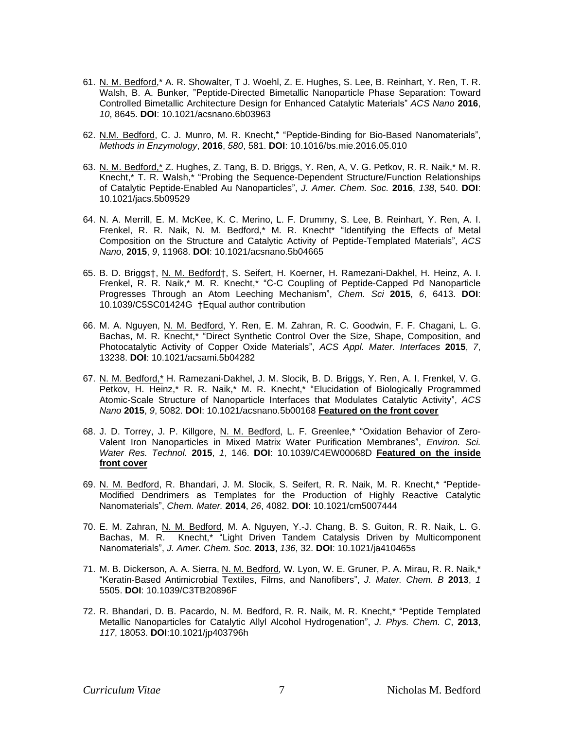- 61. N. M. Bedford,\* A. R. Showalter, T J. Woehl, Z. E. Hughes, S. Lee, B. Reinhart, Y. Ren, T. R. Walsh, B. A. Bunker, "Peptide-Directed Bimetallic Nanoparticle Phase Separation: Toward Controlled Bimetallic Architecture Design for Enhanced Catalytic Materials" *ACS Nano* **2016**, *10*, 8645. **DOI**: 10.1021/acsnano.6b03963
- 62. N.M. Bedford, C. J. Munro, M. R. Knecht,\* "Peptide-Binding for Bio-Based Nanomaterials", *Methods in Enzymology*, **2016**, *580*, 581. **DOI**: 10.1016/bs.mie.2016.05.010
- 63. N. M. Bedford,\* Z. Hughes, Z. Tang, B. D. Briggs, Y. Ren, A, V. G. Petkov, R. R. Naik,\* M. R. Knecht,\* T. R. Walsh,\* "Probing the Sequence-Dependent Structure/Function Relationships of Catalytic Peptide-Enabled Au Nanoparticles", *J. Amer. Chem. Soc.* **2016**, *138*, 540. **DOI**: 10.1021/jacs.5b09529
- 64. N. A. Merrill, E. M. McKee, K. C. Merino, L. F. Drummy, S. Lee, B. Reinhart, Y. Ren, A. I. Frenkel, R. R. Naik, N. M. Bedford,\* M. R. Knecht\* "Identifying the Effects of Metal Composition on the Structure and Catalytic Activity of Peptide-Templated Materials", *ACS Nano*, **2015**, *9*, 11968. **DOI**: 10.1021/acsnano.5b04665
- 65. B. D. Briggs†, N. M. Bedford†, S. Seifert, H. Koerner, H. Ramezani-Dakhel, H. Heinz, A. I. Frenkel, R. R. Naik,\* M. R. Knecht,\* "C-C Coupling of Peptide-Capped Pd Nanoparticle Progresses Through an Atom Leeching Mechanism", *Chem. Sci* **2015**, *6*, 6413. **DOI**: 10.1039/C5SC01424G †Equal author contribution
- 66. M. A. Nguyen, N. M. Bedford, Y. Ren, E. M. Zahran, R. C. Goodwin, F. F. Chagani, L. G. Bachas, M. R. Knecht,\* "Direct Synthetic Control Over the Size, Shape, Composition, and Photocatalytic Activity of Copper Oxide Materials", *ACS Appl. Mater. Interfaces* **2015**, *7*, 13238. **DOI**: 10.1021/acsami.5b04282
- 67. N. M. Bedford,\* H. Ramezani-Dakhel, J. M. Slocik, B. D. Briggs, Y. Ren, A. I. Frenkel, V. G. Petkov, H. Heinz,\* R. R. Naik,\* M. R. Knecht,\* "Elucidation of Biologically Programmed Atomic-Scale Structure of Nanoparticle Interfaces that Modulates Catalytic Activity", *ACS Nano* **2015**, *9*, 5082. **DOI**: 10.1021/acsnano.5b00168 **Featured on the front cover**
- 68. J. D. Torrey, J. P. Killgore, N. M. Bedford, L. F. Greenlee,\* "Oxidation Behavior of Zero-Valent Iron Nanoparticles in Mixed Matrix Water Purification Membranes", *Environ. Sci. Water Res. Technol.* **2015**, *1*, 146. **DOI**: 10.1039/C4EW00068D **Featured on the inside front cover**
- 69. N. M. Bedford, R. Bhandari, J. M. Slocik, S. Seifert, R. R. Naik, M. R. Knecht,\* "Peptide-Modified Dendrimers as Templates for the Production of Highly Reactive Catalytic Nanomaterials", *Chem. Mater.* **2014**, *26*, 4082. **DOI**: 10.1021/cm5007444
- 70. E. M. Zahran, N. M. Bedford, M. A. Nguyen, Y.-J. Chang, B. S. Guiton, R. R. Naik, L. G. Bachas, M. R. Knecht,\* "Light Driven Tandem Catalysis Driven by Multicomponent Nanomaterials", *J. Amer. Chem. Soc.* **2013**, *136*, 32. **DOI**: 10.1021/ja410465s
- 71. M. B. Dickerson, A. A. Sierra, N. M. Bedford*,* W. Lyon, W. E. Gruner, P. A. Mirau, R. R. Naik,\* "Keratin-Based Antimicrobial Textiles, Films, and Nanofibers", *J. Mater. Chem. B* **2013**, *1* 5505. **DOI**: 10.1039/C3TB20896F
- 72. R. Bhandari, D. B. Pacardo, N. M. Bedford, R. R. Naik, M. R. Knecht,\* "Peptide Templated Metallic Nanoparticles for Catalytic Allyl Alcohol Hydrogenation", *J. Phys. Chem. C*, **2013**, *117*, 18053. **DOI**:10.1021/jp403796h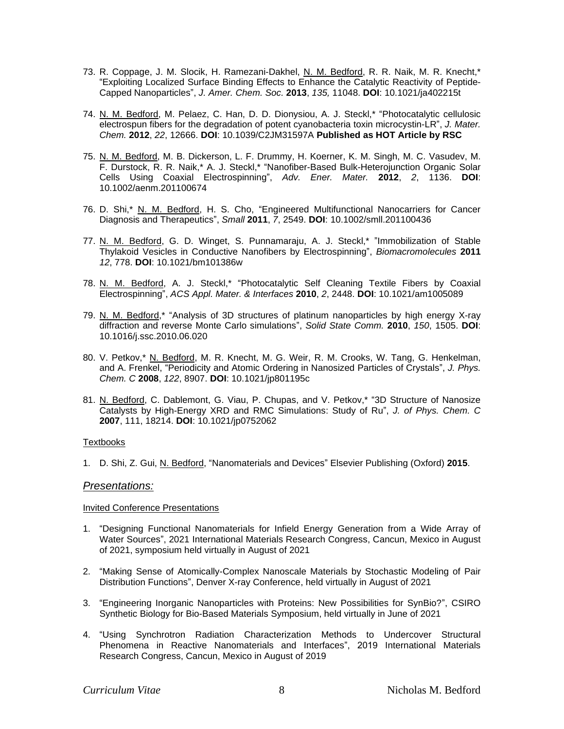- 73. R. Coppage, J. M. Slocik, H. Ramezani-Dakhel, N. M. Bedford, R. R. Naik, M. R. Knecht,\* "Exploiting Localized Surface Binding Effects to Enhance the Catalytic Reactivity of Peptide-Capped Nanoparticles", *J. Amer. Chem. Soc.* **2013**, *135,* 11048. **DOI**: 10.1021/ja402215t
- 74. N. M. Bedford, M. Pelaez, C. Han, D. D. Dionysiou, A. J. Steckl,\* "Photocatalytic cellulosic electrospun fibers for the degradation of potent cyanobacteria toxin microcystin-LR", *J. Mater. Chem.* **2012**, *22*, 12666. **DOI**: 10.1039/C2JM31597A **Published as HOT Article by RSC**
- 75. N. M. Bedford, M. B. Dickerson, L. F. Drummy, H. Koerner, K. M. Singh, M. C. Vasudev, M. F. Durstock, R. R. Naik,\* A. J. Steckl,\* "Nanofiber-Based Bulk-Heterojunction Organic Solar Cells Using Coaxial Electrospinning", *Adv. Ener. Mater.* **2012**, *2*, 1136. **DOI**: 10.1002/aenm.201100674
- 76. D. Shi,\* N. M. Bedford, H. S. Cho, "Engineered Multifunctional Nanocarriers for Cancer Diagnosis and Therapeutics", *Small* **2011**, *7*, 2549. **DOI**: 10.1002/smll.201100436
- 77. N. M. Bedford, G. D. Winget, S. Punnamaraju, A. J. Steckl,\* "Immobilization of Stable Thylakoid Vesicles in Conductive Nanofibers by Electrospinning", *Biomacromolecules* **2011** *12*, 778. **DOI**: 10.1021/bm101386w
- 78. N. M. Bedford, A. J. Steckl,\* "Photocatalytic Self Cleaning Textile Fibers by Coaxial Electrospinning", *ACS Appl. Mater. & Interfaces* **2010**, *2*, 2448. **DOI**: 10.1021/am1005089
- 79. N. M. Bedford,\* "Analysis of 3D structures of platinum nanoparticles by high energy X-ray diffraction and reverse Monte Carlo simulations", *Solid State Comm.* **2010**, *150*, 1505. **DOI**: 10.1016/j.ssc.2010.06.020
- 80. V. Petkov,\* N. Bedford, M. R. Knecht, M. G. Weir, R. M. Crooks, W. Tang, G. Henkelman, and A. Frenkel, "Periodicity and Atomic Ordering in Nanosized Particles of Crystals", *J. Phys. Chem. C* **2008**, *122*, 8907. **DOI**: 10.1021/jp801195c
- 81. N. Bedford, C. Dablemont, G. Viau, P. Chupas, and V. Petkov,\* "3D Structure of Nanosize Catalysts by High-Energy XRD and RMC Simulations: Study of Ru", *J. of Phys. Chem. C* **2007**, 111, 18214. **DOI**: 10.1021/jp0752062

#### **Textbooks**

1. D. Shi, Z. Gui, N. Bedford, "Nanomaterials and Devices" Elsevier Publishing (Oxford) **2015**.

# *Presentations:*

#### Invited Conference Presentations

- 1. "Designing Functional Nanomaterials for Infield Energy Generation from a Wide Array of Water Sources", 2021 International Materials Research Congress, Cancun, Mexico in August of 2021, symposium held virtually in August of 2021
- 2. "Making Sense of Atomically-Complex Nanoscale Materials by Stochastic Modeling of Pair Distribution Functions", Denver X-ray Conference, held virtually in August of 2021
- 3. "Engineering Inorganic Nanoparticles with Proteins: New Possibilities for SynBio?", CSIRO Synthetic Biology for Bio-Based Materials Symposium, held virtually in June of 2021
- 4. "Using Synchrotron Radiation Characterization Methods to Undercover Structural Phenomena in Reactive Nanomaterials and Interfaces", 2019 International Materials Research Congress, Cancun, Mexico in August of 2019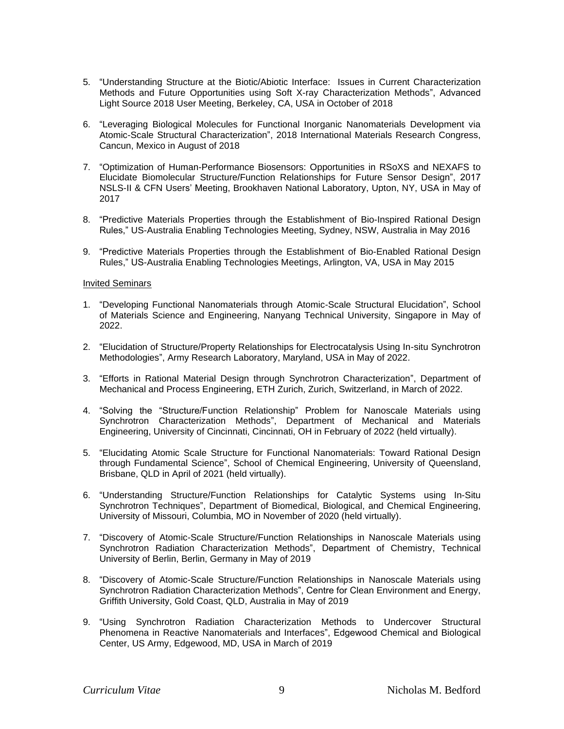- 5. "Understanding Structure at the Biotic/Abiotic Interface: Issues in Current Characterization Methods and Future Opportunities using Soft X-ray Characterization Methods", Advanced Light Source 2018 User Meeting, Berkeley, CA, USA in October of 2018
- 6. "Leveraging Biological Molecules for Functional Inorganic Nanomaterials Development via Atomic-Scale Structural Characterization", 2018 International Materials Research Congress, Cancun, Mexico in August of 2018
- 7. "Optimization of Human-Performance Biosensors: Opportunities in RSoXS and NEXAFS to Elucidate Biomolecular Structure/Function Relationships for Future Sensor Design", 2017 NSLS-II & CFN Users' Meeting, Brookhaven National Laboratory, Upton, NY, USA in May of 2017
- 8. "Predictive Materials Properties through the Establishment of Bio-Inspired Rational Design Rules," US-Australia Enabling Technologies Meeting, Sydney, NSW, Australia in May 2016
- 9. "Predictive Materials Properties through the Establishment of Bio-Enabled Rational Design Rules," US-Australia Enabling Technologies Meetings, Arlington, VA, USA in May 2015

#### Invited Seminars

- 1. "Developing Functional Nanomaterials through Atomic-Scale Structural Elucidation", School of Materials Science and Engineering, Nanyang Technical University, Singapore in May of 2022.
- 2. "Elucidation of Structure/Property Relationships for Electrocatalysis Using In-situ Synchrotron Methodologies", Army Research Laboratory, Maryland, USA in May of 2022.
- 3. "Efforts in Rational Material Design through Synchrotron Characterization", Department of Mechanical and Process Engineering, ETH Zurich, Zurich, Switzerland, in March of 2022.
- 4. "Solving the "Structure/Function Relationship" Problem for Nanoscale Materials using Synchrotron Characterization Methods", Department of Mechanical and Materials Engineering, University of Cincinnati, Cincinnati, OH in February of 2022 (held virtually).
- 5. "Elucidating Atomic Scale Structure for Functional Nanomaterials: Toward Rational Design through Fundamental Science", School of Chemical Engineering, University of Queensland, Brisbane, QLD in April of 2021 (held virtually).
- 6. "Understanding Structure/Function Relationships for Catalytic Systems using In-Situ Synchrotron Techniques", Department of Biomedical, Biological, and Chemical Engineering, University of Missouri, Columbia, MO in November of 2020 (held virtually).
- 7. "Discovery of Atomic-Scale Structure/Function Relationships in Nanoscale Materials using Synchrotron Radiation Characterization Methods", Department of Chemistry, Technical University of Berlin, Berlin, Germany in May of 2019
- 8. "Discovery of Atomic-Scale Structure/Function Relationships in Nanoscale Materials using Synchrotron Radiation Characterization Methods", Centre for Clean Environment and Energy, Griffith University, Gold Coast, QLD, Australia in May of 2019
- 9. "Using Synchrotron Radiation Characterization Methods to Undercover Structural Phenomena in Reactive Nanomaterials and Interfaces", Edgewood Chemical and Biological Center, US Army, Edgewood, MD, USA in March of 2019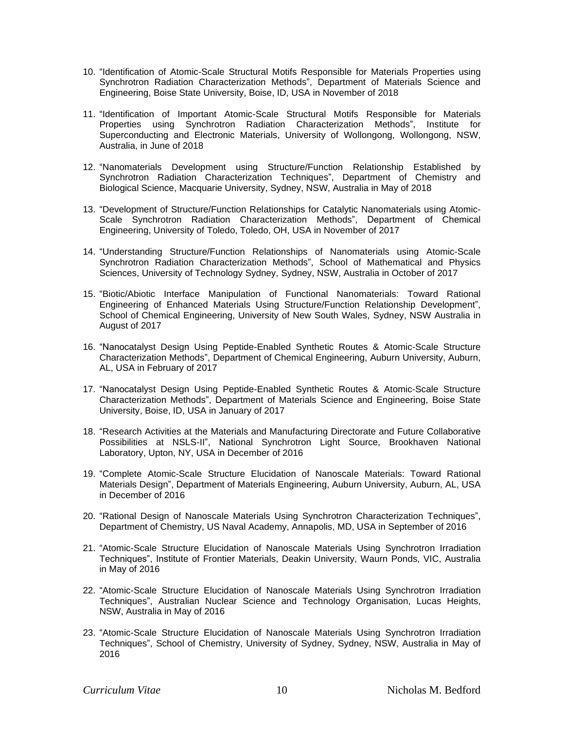- 10. "Identification of Atomic-Scale Structural Motifs Responsible for Materials Properties using Synchrotron Radiation Characterization Methods", Department of Materials Science and Engineering, Boise State University, Boise, ID, USA in November of 2018
- 11. "Identification of Important Atomic-Scale Structural Motifs Responsible for Materials Properties using Synchrotron Radiation Characterization Methods", Institute for Superconducting and Electronic Materials, University of Wollongong, Wollongong, NSW, Australia, in June of 2018
- 12. "Nanomaterials Development using Structure/Function Relationship Established by Synchrotron Radiation Characterization Techniques", Department of Chemistry and Biological Science, Macquarie University, Sydney, NSW, Australia in May of 2018
- 13. "Development of Structure/Function Relationships for Catalytic Nanomaterials using Atomic-Scale Synchrotron Radiation Characterization Methods", Department of Chemical Engineering, University of Toledo, Toledo, OH, USA in November of 2017
- 14. "Understanding Structure/Function Relationships of Nanomaterials using Atomic-Scale Synchrotron Radiation Characterization Methods", School of Mathematical and Physics Sciences, University of Technology Sydney, Sydney, NSW, Australia in October of 2017
- 15. "Biotic/Abiotic Interface Manipulation of Functional Nanomaterials: Toward Rational Engineering of Enhanced Materials Using Structure/Function Relationship Development", School of Chemical Engineering, University of New South Wales, Sydney, NSW Australia in August of 2017
- 16. "Nanocatalyst Design Using Peptide-Enabled Synthetic Routes & Atomic-Scale Structure Characterization Methods", Department of Chemical Engineering, Auburn University, Auburn, AL, USA in February of 2017
- 17. "Nanocatalyst Design Using Peptide-Enabled Synthetic Routes & Atomic-Scale Structure Characterization Methods", Department of Materials Science and Engineering, Boise State University, Boise, ID, USA in January of 2017
- 18. "Research Activities at the Materials and Manufacturing Directorate and Future Collaborative Possibilities at NSLS-II", National Synchrotron Light Source, Brookhaven National Laboratory, Upton, NY, USA in December of 2016
- 19. "Complete Atomic-Scale Structure Elucidation of Nanoscale Materials: Toward Rational Materials Design", Department of Materials Engineering, Auburn University, Auburn, AL, USA in December of 2016
- 20. "Rational Design of Nanoscale Materials Using Synchrotron Characterization Techniques", Department of Chemistry, US Naval Academy, Annapolis, MD, USA in September of 2016
- 21. "Atomic-Scale Structure Elucidation of Nanoscale Materials Using Synchrotron Irradiation Techniques", Institute of Frontier Materials, Deakin University, Waurn Ponds, VIC, Australia in May of 2016
- 22. "Atomic-Scale Structure Elucidation of Nanoscale Materials Using Synchrotron Irradiation Techniques", Australian Nuclear Science and Technology Organisation, Lucas Heights, NSW, Australia in May of 2016
- 23. "Atomic-Scale Structure Elucidation of Nanoscale Materials Using Synchrotron Irradiation Techniques", School of Chemistry, University of Sydney, Sydney, NSW, Australia in May of 2016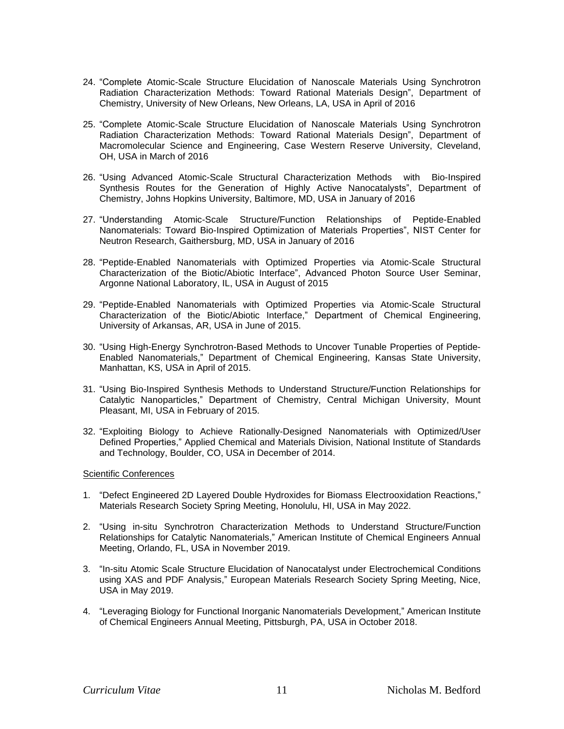- 24. "Complete Atomic-Scale Structure Elucidation of Nanoscale Materials Using Synchrotron Radiation Characterization Methods: Toward Rational Materials Design", Department of Chemistry, University of New Orleans, New Orleans, LA, USA in April of 2016
- 25. "Complete Atomic-Scale Structure Elucidation of Nanoscale Materials Using Synchrotron Radiation Characterization Methods: Toward Rational Materials Design", Department of Macromolecular Science and Engineering, Case Western Reserve University, Cleveland, OH, USA in March of 2016
- 26. "Using Advanced Atomic-Scale Structural Characterization Methods with Bio-Inspired Synthesis Routes for the Generation of Highly Active Nanocatalysts", Department of Chemistry, Johns Hopkins University, Baltimore, MD, USA in January of 2016
- 27. "Understanding Atomic-Scale Structure/Function Relationships of Peptide-Enabled Nanomaterials: Toward Bio-Inspired Optimization of Materials Properties", NIST Center for Neutron Research, Gaithersburg, MD, USA in January of 2016
- 28. "Peptide-Enabled Nanomaterials with Optimized Properties via Atomic-Scale Structural Characterization of the Biotic/Abiotic Interface", Advanced Photon Source User Seminar, Argonne National Laboratory, IL, USA in August of 2015
- 29. "Peptide-Enabled Nanomaterials with Optimized Properties via Atomic-Scale Structural Characterization of the Biotic/Abiotic Interface," Department of Chemical Engineering, University of Arkansas, AR, USA in June of 2015.
- 30. "Using High-Energy Synchrotron-Based Methods to Uncover Tunable Properties of Peptide-Enabled Nanomaterials," Department of Chemical Engineering, Kansas State University, Manhattan, KS, USA in April of 2015.
- 31. "Using Bio-Inspired Synthesis Methods to Understand Structure/Function Relationships for Catalytic Nanoparticles," Department of Chemistry, Central Michigan University, Mount Pleasant, MI, USA in February of 2015.
- 32. "Exploiting Biology to Achieve Rationally-Designed Nanomaterials with Optimized/User Defined Properties," Applied Chemical and Materials Division, National Institute of Standards and Technology, Boulder, CO, USA in December of 2014.

#### Scientific Conferences

- 1. "Defect Engineered 2D Layered Double Hydroxides for Biomass Electrooxidation Reactions," Materials Research Society Spring Meeting, Honolulu, HI, USA in May 2022.
- 2. "Using in-situ Synchrotron Characterization Methods to Understand Structure/Function Relationships for Catalytic Nanomaterials," American Institute of Chemical Engineers Annual Meeting, Orlando, FL, USA in November 2019.
- 3. "In-situ Atomic Scale Structure Elucidation of Nanocatalyst under Electrochemical Conditions using XAS and PDF Analysis," European Materials Research Society Spring Meeting, Nice, USA in May 2019.
- 4. "Leveraging Biology for Functional Inorganic Nanomaterials Development," American Institute of Chemical Engineers Annual Meeting, Pittsburgh, PA, USA in October 2018.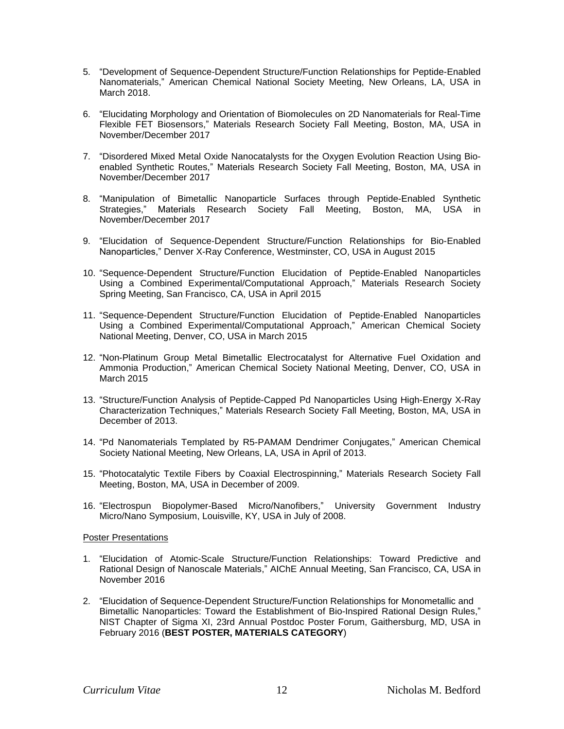- 5. "Development of Sequence-Dependent Structure/Function Relationships for Peptide-Enabled Nanomaterials," American Chemical National Society Meeting, New Orleans, LA, USA in March 2018.
- 6. "Elucidating Morphology and Orientation of Biomolecules on 2D Nanomaterials for Real-Time Flexible FET Biosensors," Materials Research Society Fall Meeting, Boston, MA, USA in November/December 2017
- 7. "Disordered Mixed Metal Oxide Nanocatalysts for the Oxygen Evolution Reaction Using Bioenabled Synthetic Routes," Materials Research Society Fall Meeting, Boston, MA, USA in November/December 2017
- 8. "Manipulation of Bimetallic Nanoparticle Surfaces through Peptide-Enabled Synthetic Strategies," Materials Research Society Fall Meeting, Boston, MA, USA in November/December 2017
- 9. "Elucidation of Sequence-Dependent Structure/Function Relationships for Bio-Enabled Nanoparticles," Denver X-Ray Conference, Westminster, CO, USA in August 2015
- 10. "Sequence-Dependent Structure/Function Elucidation of Peptide-Enabled Nanoparticles Using a Combined Experimental/Computational Approach," Materials Research Society Spring Meeting, San Francisco, CA, USA in April 2015
- 11. "Sequence-Dependent Structure/Function Elucidation of Peptide-Enabled Nanoparticles Using a Combined Experimental/Computational Approach," American Chemical Society National Meeting, Denver, CO, USA in March 2015
- 12. "Non-Platinum Group Metal Bimetallic Electrocatalyst for Alternative Fuel Oxidation and Ammonia Production," American Chemical Society National Meeting, Denver, CO, USA in March 2015
- 13. "Structure/Function Analysis of Peptide-Capped Pd Nanoparticles Using High-Energy X-Ray Characterization Techniques," Materials Research Society Fall Meeting, Boston, MA, USA in December of 2013.
- 14. "Pd Nanomaterials Templated by R5-PAMAM Dendrimer Conjugates," American Chemical Society National Meeting, New Orleans, LA, USA in April of 2013.
- 15. "Photocatalytic Textile Fibers by Coaxial Electrospinning," Materials Research Society Fall Meeting, Boston, MA, USA in December of 2009.
- 16. "Electrospun Biopolymer-Based Micro/Nanofibers," University Government Industry Micro/Nano Symposium, Louisville, KY, USA in July of 2008.

#### Poster Presentations

- 1. "Elucidation of Atomic-Scale Structure/Function Relationships: Toward Predictive and Rational Design of Nanoscale Materials," AIChE Annual Meeting, San Francisco, CA, USA in November 2016
- 2. "Elucidation of Sequence-Dependent Structure/Function Relationships for Monometallic and Bimetallic Nanoparticles: Toward the Establishment of Bio-Inspired Rational Design Rules," NIST Chapter of Sigma XI, 23rd Annual Postdoc Poster Forum, Gaithersburg, MD, USA in February 2016 (**BEST POSTER, MATERIALS CATEGORY**)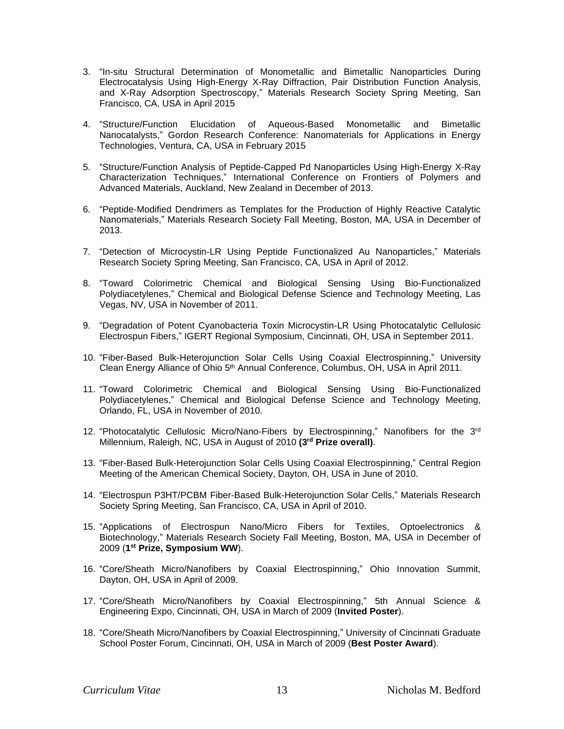- 3. "In-situ Structural Determination of Monometallic and Bimetallic Nanoparticles During Electrocatalysis Using High-Energy X-Ray Diffraction, Pair Distribution Function Analysis, and X-Ray Adsorption Spectroscopy," Materials Research Society Spring Meeting, San Francisco, CA, USA in April 2015
- 4. "Structure/Function Elucidation of Aqueous-Based Monometallic and Bimetallic Nanocatalysts," Gordon Research Conference: Nanomaterials for Applications in Energy Technologies, Ventura, CA, USA in February 2015
- 5. "Structure/Function Analysis of Peptide-Capped Pd Nanoparticles Using High-Energy X-Ray Characterization Techniques," International Conference on Frontiers of Polymers and Advanced Materials, Auckland, New Zealand in December of 2013.
- 6. "Peptide-Modified Dendrimers as Templates for the Production of Highly Reactive Catalytic Nanomaterials," Materials Research Society Fall Meeting, Boston, MA, USA in December of 2013.
- 7. "Detection of Microcystin-LR Using Peptide Functionalized Au Nanoparticles," Materials Research Society Spring Meeting, San Francisco, CA, USA in April of 2012.
- 8. "Toward Colorimetric Chemical and Biological Sensing Using Bio-Functionalized Polydiacetylenes," Chemical and Biological Defense Science and Technology Meeting, Las Vegas, NV, USA in November of 2011.
- 9. "Degradation of Potent Cyanobacteria Toxin Microcystin-LR Using Photocatalytic Cellulosic Electrospun Fibers," IGERT Regional Symposium, Cincinnati, OH, USA in September 2011.
- 10. "Fiber-Based Bulk-Heterojunction Solar Cells Using Coaxial Electrospinning," University Clean Energy Alliance of Ohio 5<sup>th</sup> Annual Conference, Columbus, OH, USA in April 2011.
- 11. "Toward Colorimetric Chemical and Biological Sensing Using Bio-Functionalized Polydiacetylenes," Chemical and Biological Defense Science and Technology Meeting, Orlando, FL, USA in November of 2010.
- 12. "Photocatalytic Cellulosic Micro/Nano-Fibers by Electrospinning," Nanofibers for the 3rd Millennium, Raleigh, NC, USA in August of 2010 **(3rd Prize overall)**.
- 13. "Fiber-Based Bulk-Heterojunction Solar Cells Using Coaxial Electrospinning," Central Region Meeting of the American Chemical Society, Dayton, OH, USA in June of 2010.
- 14. "Electrospun P3HT/PCBM Fiber-Based Bulk-Heterojunction Solar Cells," Materials Research Society Spring Meeting, San Francisco, CA, USA in April of 2010.
- 15. "Applications of Electrospun Nano/Micro Fibers for Textiles, Optoelectronics & Biotechnology," Materials Research Society Fall Meeting, Boston, MA, USA in December of 2009 (**1 st Prize, Symposium WW**).
- 16. "Core/Sheath Micro/Nanofibers by Coaxial Electrospinning," Ohio Innovation Summit, Dayton, OH, USA in April of 2009.
- 17. "Core/Sheath Micro/Nanofibers by Coaxial Electrospinning," 5th Annual Science & Engineering Expo, Cincinnati, OH, USA in March of 2009 (**Invited Poster**).
- 18. "Core/Sheath Micro/Nanofibers by Coaxial Electrospinning," University of Cincinnati Graduate School Poster Forum, Cincinnati, OH, USA in March of 2009 (**Best Poster Award**).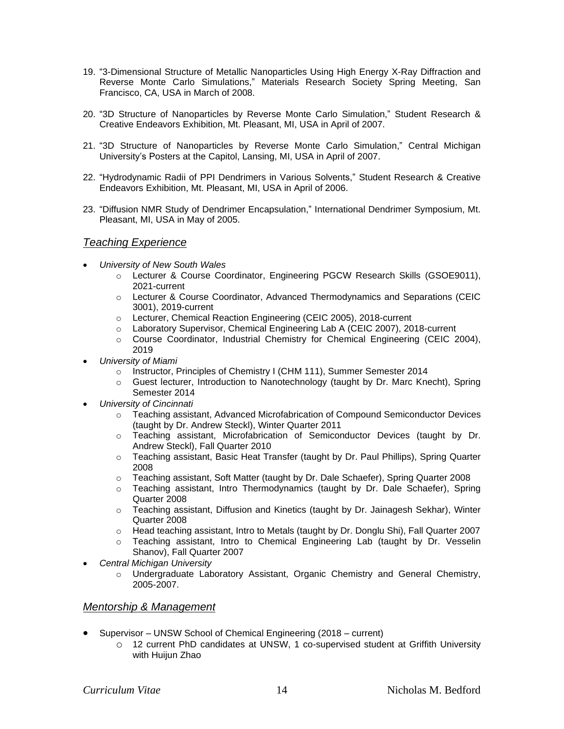- 19. "3-Dimensional Structure of Metallic Nanoparticles Using High Energy X-Ray Diffraction and Reverse Monte Carlo Simulations," Materials Research Society Spring Meeting, San Francisco, CA, USA in March of 2008.
- 20. "3D Structure of Nanoparticles by Reverse Monte Carlo Simulation," Student Research & Creative Endeavors Exhibition, Mt. Pleasant, MI, USA in April of 2007.
- 21. "3D Structure of Nanoparticles by Reverse Monte Carlo Simulation," Central Michigan University's Posters at the Capitol, Lansing, MI, USA in April of 2007.
- 22. "Hydrodynamic Radii of PPI Dendrimers in Various Solvents," Student Research & Creative Endeavors Exhibition, Mt. Pleasant, MI, USA in April of 2006.
- 23. "Diffusion NMR Study of Dendrimer Encapsulation," International Dendrimer Symposium, Mt. Pleasant, MI, USA in May of 2005.

# *Teaching Experience*

- *University of New South Wales*
	- o Lecturer & Course Coordinator, Engineering PGCW Research Skills (GSOE9011), 2021-current
	- o Lecturer & Course Coordinator, Advanced Thermodynamics and Separations (CEIC 3001), 2019-current
	- o Lecturer, Chemical Reaction Engineering (CEIC 2005), 2018-current
	- o Laboratory Supervisor, Chemical Engineering Lab A (CEIC 2007), 2018-current
	- o Course Coordinator, Industrial Chemistry for Chemical Engineering (CEIC 2004), 2019
- *University of Miami*
	- o Instructor, Principles of Chemistry I (CHM 111), Summer Semester 2014
	- o Guest lecturer, Introduction to Nanotechnology (taught by Dr. Marc Knecht), Spring Semester 2014
- *University of Cincinnati*
	- o Teaching assistant, Advanced Microfabrication of Compound Semiconductor Devices (taught by Dr. Andrew Steckl), Winter Quarter 2011
	- o Teaching assistant, Microfabrication of Semiconductor Devices (taught by Dr. Andrew Steckl), Fall Quarter 2010
	- o Teaching assistant, Basic Heat Transfer (taught by Dr. Paul Phillips), Spring Quarter 2008
	- o Teaching assistant, Soft Matter (taught by Dr. Dale Schaefer), Spring Quarter 2008
	- o Teaching assistant, Intro Thermodynamics (taught by Dr. Dale Schaefer), Spring Quarter 2008
	- o Teaching assistant, Diffusion and Kinetics (taught by Dr. Jainagesh Sekhar), Winter Quarter 2008
	- o Head teaching assistant, Intro to Metals (taught by Dr. Donglu Shi), Fall Quarter 2007
	- o Teaching assistant, Intro to Chemical Engineering Lab (taught by Dr. Vesselin Shanov), Fall Quarter 2007
- *Central Michigan University*
	- o Undergraduate Laboratory Assistant, Organic Chemistry and General Chemistry, 2005-2007.

# *Mentorship & Management*

- Supervisor UNSW School of Chemical Engineering (2018 current)
	- o 12 current PhD candidates at UNSW, 1 co-supervised student at Griffith University with Huijun Zhao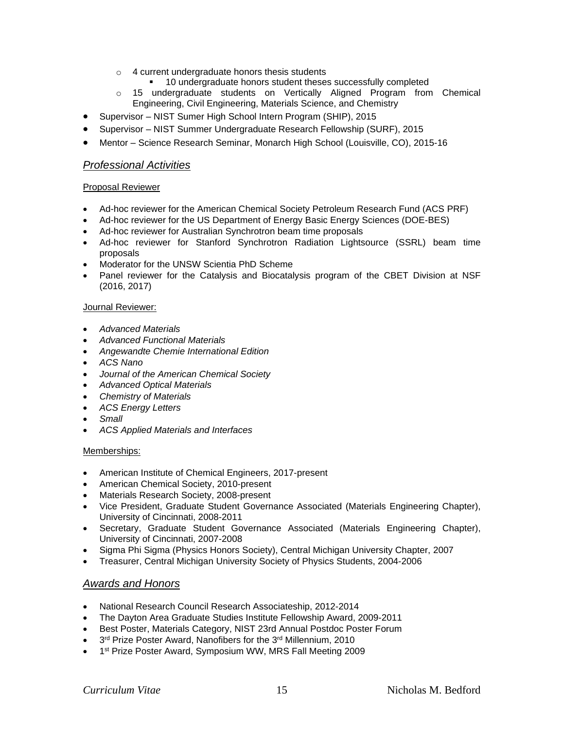- o 4 current undergraduate honors thesis students
	- 10 undergraduate honors student theses successfully completed
- o 15 undergraduate students on Vertically Aligned Program from Chemical Engineering, Civil Engineering, Materials Science, and Chemistry
- Supervisor NIST Sumer High School Intern Program (SHIP), 2015
- Supervisor NIST Summer Undergraduate Research Fellowship (SURF), 2015
- Mentor Science Research Seminar, Monarch High School (Louisville, CO), 2015-16

# *Professional Activities*

## Proposal Reviewer

- Ad-hoc reviewer for the American Chemical Society Petroleum Research Fund (ACS PRF)
- Ad-hoc reviewer for the US Department of Energy Basic Energy Sciences (DOE-BES)
- Ad-hoc reviewer for Australian Synchrotron beam time proposals
- Ad-hoc reviewer for Stanford Synchrotron Radiation Lightsource (SSRL) beam time proposals
- Moderator for the UNSW Scientia PhD Scheme
- Panel reviewer for the Catalysis and Biocatalysis program of the CBET Division at NSF (2016, 2017)

## Journal Reviewer:

- *Advanced Materials*
- *Advanced Functional Materials*
- *Angewandte Chemie International Edition*
- *ACS Nano*
- *Journal of the American Chemical Society*
- *Advanced Optical Materials*
- *Chemistry of Materials*
- *ACS Energy Letters*
- *Small*
- *ACS Applied Materials and Interfaces*

# Memberships:

- American Institute of Chemical Engineers, 2017-present
- American Chemical Society, 2010-present
- Materials Research Society, 2008-present
- Vice President, Graduate Student Governance Associated (Materials Engineering Chapter), University of Cincinnati, 2008-2011
- Secretary, Graduate Student Governance Associated (Materials Engineering Chapter), University of Cincinnati, 2007-2008
- Sigma Phi Sigma (Physics Honors Society), Central Michigan University Chapter, 2007
- Treasurer, Central Michigan University Society of Physics Students, 2004-2006

# *Awards and Honors*

- National Research Council Research Associateship, 2012-2014
- The Dayton Area Graduate Studies Institute Fellowship Award, 2009-2011
- Best Poster, Materials Category, NIST 23rd Annual Postdoc Poster Forum
- 3<sup>rd</sup> Prize Poster Award, Nanofibers for the 3<sup>rd</sup> Millennium, 2010
- 1<sup>st</sup> Prize Poster Award, Symposium WW, MRS Fall Meeting 2009